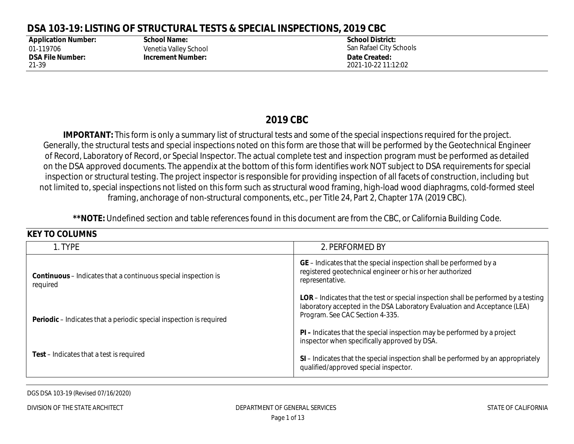### **2019 CBC**

| <b>Application Number:</b>                    | DSA 103-19: LISTING OF STRUCTURAL TESTS & SPECIAL INSPECTIONS, 2019 CBC<br><b>School Name:</b> | <b>School District:</b>                                                                                                                                                                                                                                                                                                                                                                                                                                                                                                                                                                                                                                                                                                                                                                                                                                                                                                                                                         |  |  |  |  |
|-----------------------------------------------|------------------------------------------------------------------------------------------------|---------------------------------------------------------------------------------------------------------------------------------------------------------------------------------------------------------------------------------------------------------------------------------------------------------------------------------------------------------------------------------------------------------------------------------------------------------------------------------------------------------------------------------------------------------------------------------------------------------------------------------------------------------------------------------------------------------------------------------------------------------------------------------------------------------------------------------------------------------------------------------------------------------------------------------------------------------------------------------|--|--|--|--|
| 01-119706<br><b>DSA File Number:</b><br>21-39 | Venetia Valley School<br><b>Increment Number:</b>                                              | San Rafael City Schools<br>Date Created:<br>2021-10-22 11:12:02                                                                                                                                                                                                                                                                                                                                                                                                                                                                                                                                                                                                                                                                                                                                                                                                                                                                                                                 |  |  |  |  |
|                                               |                                                                                                | 2019 CBC<br><b>IMPORTANT:</b> This form is only a summary list of structural tests and some of the special inspections required for the project.<br>Generally, the structural tests and special inspections noted on this form are those that will be performed by the Geotechnical Engineer<br>of Record, Laboratory of Record, or Special Inspector. The actual complete test and inspection program must be performed as detailed<br>on the DSA approved documents. The appendix at the bottom of this form identifies work NOT subject to DSA requirements for special<br>inspection or structural testing. The project inspector is responsible for providing inspection of all facets of construction, including but<br>not limited to, special inspections not listed on this form such as structural wood framing, high-load wood diaphragms, cold-formed steel<br>framing, anchorage of non-structural components, etc., per Title 24, Part 2, Chapter 17A (2019 CBC). |  |  |  |  |
|                                               |                                                                                                | **NOTE: Undefined section and table references found in this document are from the CBC, or California Building Code.                                                                                                                                                                                                                                                                                                                                                                                                                                                                                                                                                                                                                                                                                                                                                                                                                                                            |  |  |  |  |
| <b>KEY TO COLUMNS</b><br>1. TYPE              |                                                                                                | 2. PERFORMED BY                                                                                                                                                                                                                                                                                                                                                                                                                                                                                                                                                                                                                                                                                                                                                                                                                                                                                                                                                                 |  |  |  |  |
| required                                      | Continuous - Indicates that a continuous special inspection is                                 | GE - Indicates that the special inspection shall be performed by a<br>registered geotechnical engineer or his or her authorized<br>representative.                                                                                                                                                                                                                                                                                                                                                                                                                                                                                                                                                                                                                                                                                                                                                                                                                              |  |  |  |  |
|                                               | Periodic - Indicates that a periodic special inspection is required                            | LOR - Indicates that the test or special inspection shall be performed by a testing<br>laboratory accepted in the DSA Laboratory Evaluation and Acceptance (LEA)<br>Program. See CAC Section 4-335.                                                                                                                                                                                                                                                                                                                                                                                                                                                                                                                                                                                                                                                                                                                                                                             |  |  |  |  |
|                                               |                                                                                                | PI - Indicates that the special inspection may be performed by a project<br>inspector when specifically approved by DSA.                                                                                                                                                                                                                                                                                                                                                                                                                                                                                                                                                                                                                                                                                                                                                                                                                                                        |  |  |  |  |
|                                               |                                                                                                |                                                                                                                                                                                                                                                                                                                                                                                                                                                                                                                                                                                                                                                                                                                                                                                                                                                                                                                                                                                 |  |  |  |  |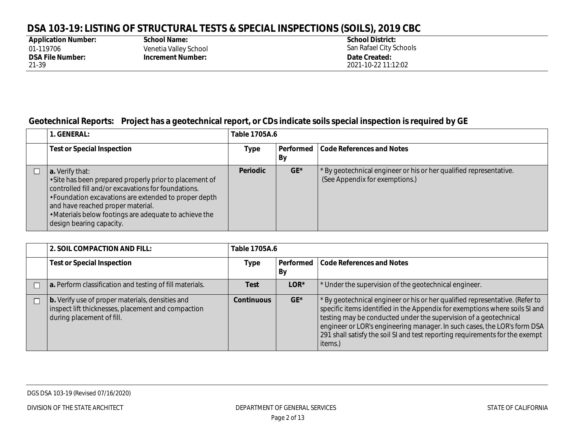| <b>Application Number:</b> |
|----------------------------|
| 01-119706                  |
| <b>DSA File Number:</b>    |
| 21-39                      |

**School Name:** Venetia Valley School **Increment Number: Date Created:** 

**School District:** San Rafael City Schools 2021-10-22 11:12:02

#### **Geotechnical Reports: Project has a geotechnical report, or CDs indicate soils special inspection is required by GE**

| . GENERAL:                                                                                                                                                                                                                                                                                                            | Table 1705A.6   |                 |                                                                                                    |  |
|-----------------------------------------------------------------------------------------------------------------------------------------------------------------------------------------------------------------------------------------------------------------------------------------------------------------------|-----------------|-----------------|----------------------------------------------------------------------------------------------------|--|
| <b>Test or Special Inspection</b>                                                                                                                                                                                                                                                                                     | Type            | Performed<br>By | Code References and Notes                                                                          |  |
| a. Verify that:<br>· Site has been prepared properly prior to placement of<br>controlled fill and/or excavations for foundations.<br>• Foundation excavations are extended to proper depth<br>and have reached proper material.<br>. Materials below footings are adequate to achieve the<br>design bearing capacity. | <b>Periodic</b> | $GE*$           | By geotechnical engineer or his or her qualified representative.<br>(See Appendix for exemptions.) |  |

| 2. SOIL COMPACTION AND FILL:                                                                                                               | Table 1705A.6     |                 |                                                                                                                                                                                                                                                                                                                                                                                                        |  |
|--------------------------------------------------------------------------------------------------------------------------------------------|-------------------|-----------------|--------------------------------------------------------------------------------------------------------------------------------------------------------------------------------------------------------------------------------------------------------------------------------------------------------------------------------------------------------------------------------------------------------|--|
| <b>Test or Special Inspection</b>                                                                                                          | <b>Type</b>       | Performed<br>By | <b>Code References and Notes</b>                                                                                                                                                                                                                                                                                                                                                                       |  |
| a. Perform classification and testing of fill materials.                                                                                   | <b>Test</b>       | $LOR*$          | Under the supervision of the geotechnical engineer.                                                                                                                                                                                                                                                                                                                                                    |  |
| <b>b.</b> Verify use of proper materials, densities and<br>inspect lift thicknesses, placement and compaction<br>during placement of fill. | <b>Continuous</b> | $GE*$           | * By geotechnical engineer or his or her qualified representative. (Refer to<br>specific items identified in the Appendix for exemptions where soils SI and<br>testing may be conducted under the supervision of a geotechnical<br>engineer or LOR's engineering manager. In such cases, the LOR's form DSA<br>291 shall satisfy the soil SI and test reporting requirements for the exempt<br>items.) |  |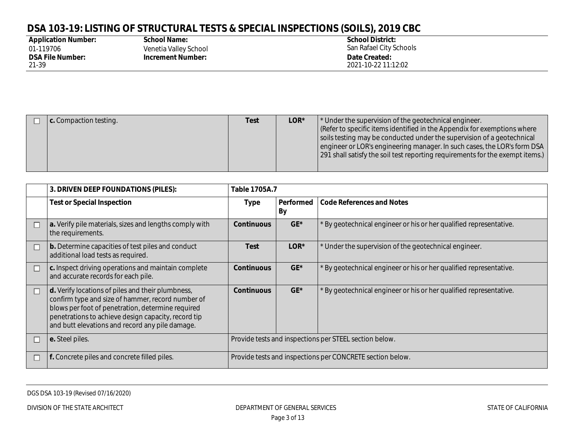| <b>Application Number:</b> |
|----------------------------|
| 01-119706                  |
| <b>DSA File Number:</b>    |
| 21-39                      |

**School Name:** Venetia Valley School **Increment Number: Date Created:** 

**School District:** San Rafael City Schools 2021-10-22 11:12:02

|  | c. Compaction testing. | <b>Test</b> | LOR* | Under the supervision of the geotechnical engineer.<br>Refer to specific items identified in the Appendix for exemptions where<br>soils testing may be conducted under the supervision of a geotechnical<br>engineer or LOR's engineering manager. In such cases, the LOR's form DSA<br>[291 shall satisfy the soil test reporting requirements for the exempt items.] |
|--|------------------------|-------------|------|------------------------------------------------------------------------------------------------------------------------------------------------------------------------------------------------------------------------------------------------------------------------------------------------------------------------------------------------------------------------|
|--|------------------------|-------------|------|------------------------------------------------------------------------------------------------------------------------------------------------------------------------------------------------------------------------------------------------------------------------------------------------------------------------------------------------------------------------|

|        | 3. DRIVEN DEEP FOUNDATIONS (PILES):                                                                                                                                                                                                                                   | Table 1705A.7                                          |                                                           |                                                                  |  |
|--------|-----------------------------------------------------------------------------------------------------------------------------------------------------------------------------------------------------------------------------------------------------------------------|--------------------------------------------------------|-----------------------------------------------------------|------------------------------------------------------------------|--|
|        | <b>Test or Special Inspection</b>                                                                                                                                                                                                                                     | Type                                                   | Performed<br><b>By</b>                                    | <b>Code References and Notes</b>                                 |  |
|        | a. Verify pile materials, sizes and lengths comply with<br>the requirements.                                                                                                                                                                                          | <b>Continuous</b>                                      | $GE*$                                                     | By geotechnical engineer or his or her qualified representative. |  |
|        | b. Determine capacities of test piles and conduct<br>additional load tests as required.                                                                                                                                                                               | <b>Test</b>                                            | LOR*                                                      | Under the supervision of the geotechnical engineer.              |  |
|        | $\vert$ c. Inspect driving operations and maintain complete<br>and accurate records for each pile.                                                                                                                                                                    | <b>Continuous</b>                                      | $GE*$                                                     | By geotechnical engineer or his or her qualified representative. |  |
| $\Box$ | d. Verify locations of piles and their plumbness,<br>confirm type and size of hammer, record number of<br>blows per foot of penetration, determine required<br>penetrations to achieve design capacity, record tip<br>and butt elevations and record any pile damage. | <b>Continuous</b>                                      | $GE*$                                                     | By geotechnical engineer or his or her qualified representative. |  |
|        | e. Steel piles.                                                                                                                                                                                                                                                       | Provide tests and inspections per STEEL section below. |                                                           |                                                                  |  |
|        | f. Concrete piles and concrete filled piles.                                                                                                                                                                                                                          |                                                        | Provide tests and inspections per CONCRETE section below. |                                                                  |  |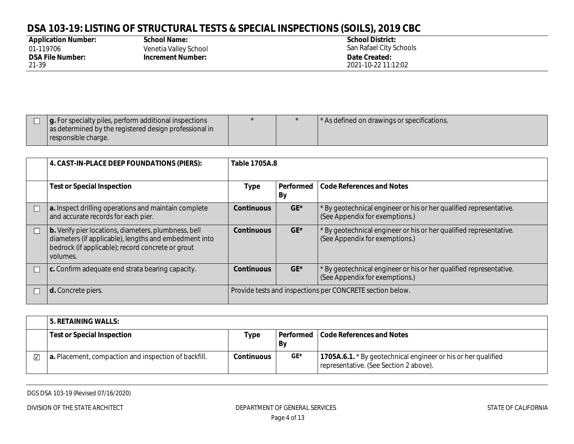| <b>Application Number:</b> |
|----------------------------|
| 01-119706                  |
| <b>DSA File Number:</b>    |
| 21-39                      |

**School Name:** Venetia Valley School **Increment Number: Date Created:** 

**School District:** San Rafael City Schools 2021-10-22 11:12:02

|  | If $\vert$ g. For specialty piles, perform additional inspections<br>as determined by the registered design professional in<br>responsible charge. |  |  | <sup>1</sup> As defined on drawings or specifications. |
|--|----------------------------------------------------------------------------------------------------------------------------------------------------|--|--|--------------------------------------------------------|
|--|----------------------------------------------------------------------------------------------------------------------------------------------------|--|--|--------------------------------------------------------|

| 4. CAST-IN-PLACE DEEP FOUNDATIONS (PIERS):                                                                                                                                     | Table 1705A.8                                             |                 |                                                                                                     |  |
|--------------------------------------------------------------------------------------------------------------------------------------------------------------------------------|-----------------------------------------------------------|-----------------|-----------------------------------------------------------------------------------------------------|--|
| <b>Test or Special Inspection</b>                                                                                                                                              | <b>Type</b>                                               | Performed<br>By | <b>Code References and Notes</b>                                                                    |  |
| a. Inspect drilling operations and maintain complete<br>and accurate records for each pier.                                                                                    | <b>Continuous</b>                                         | $GE^*$          | By geotechnical engineer or his or her qualified representative.<br>(See Appendix for exemptions.)  |  |
| b. Verify pier locations, diameters, plumbness, bell<br>diameters (if applicable), lengths and embedment into<br>bedrock (if applicable); record concrete or grout<br>volumes. | <b>Continuous</b>                                         | $GE^*$          | 'By geotechnical engineer or his or her qualified representative.<br>(See Appendix for exemptions.) |  |
| c. Confirm adequate end strata bearing capacity.                                                                                                                               | <b>Continuous</b>                                         | $GE^*$          | By geotechnical engineer or his or her qualified representative.<br>(See Appendix for exemptions.)  |  |
| d. Concrete piers.                                                                                                                                                             | Provide tests and inspections per CONCRETE section below. |                 |                                                                                                     |  |

|                         | ' 5. RETAINING WALLS:                                |                   |     |                                                                                                         |
|-------------------------|------------------------------------------------------|-------------------|-----|---------------------------------------------------------------------------------------------------------|
|                         | Test or Special Inspection                           | Type              | By  | Performed   Code References and Notes                                                                   |
| $\overline{\mathbf{v}}$ | a. Placement, compaction and inspection of backfill. | <b>Continuous</b> | GE* | 1705A.6.1. * By geotechnical engineer or his or her qualified<br>representative. (See Section 2 above). |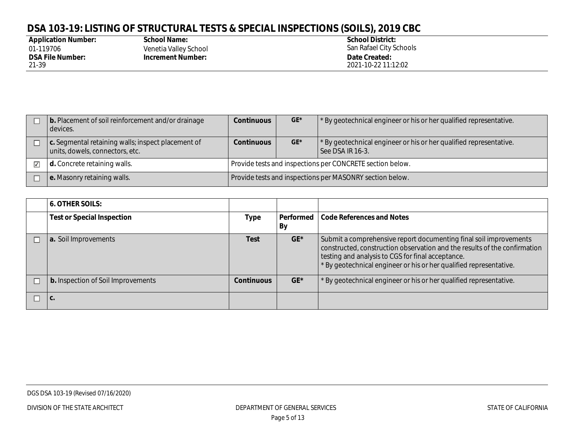| <b>Application Number:</b> |
|----------------------------|
| 01-119706                  |
| <b>DSA File Number:</b>    |
| 21-39                      |

**School Name:** Venetia Valley School **Increment Number: Date Created:** 

**School District:** San Rafael City Schools 2021-10-22 11:12:02

| b. Placement of soil reinforcement and/or drainage<br>devices.                        | <b>Continuous</b>                                         | $GE*$ | By geotechnical engineer or his or her qualified representative.                       |  |
|---------------------------------------------------------------------------------------|-----------------------------------------------------------|-------|----------------------------------------------------------------------------------------|--|
| c. Segmental retaining walls; inspect placement of<br>units, dowels, connectors, etc. | <b>Continuous</b>                                         | $GE*$ | By geotechnical engineer or his or her qualified representative.<br>l See DSA IR 16-3. |  |
| d. Concrete retaining walls.                                                          | Provide tests and inspections per CONCRETE section below. |       |                                                                                        |  |
| e. Masonry retaining walls.                                                           | Provide tests and inspections per MASONRY section below.  |       |                                                                                        |  |

| <b>6. OTHER SOILS:</b>                    |                   |                 |                                                                                                                                                                                                                                                                           |
|-------------------------------------------|-------------------|-----------------|---------------------------------------------------------------------------------------------------------------------------------------------------------------------------------------------------------------------------------------------------------------------------|
| <b>Test or Special Inspection</b>         | Type              | Performed<br>By | <b>Code References and Notes</b>                                                                                                                                                                                                                                          |
| a. Soil Improvements                      | <b>Test</b>       | $GE*$           | Submit a comprehensive report documenting final soil improvements<br>constructed, construction observation and the results of the confirmation<br>testing and analysis to CGS for final acceptance.<br>* By geotechnical engineer or his or her qualified representative. |
| <b>b.</b> Inspection of Soil Improvements | <b>Continuous</b> | GE*             | By geotechnical engineer or his or her qualified representative.                                                                                                                                                                                                          |
| ۱c.                                       |                   |                 |                                                                                                                                                                                                                                                                           |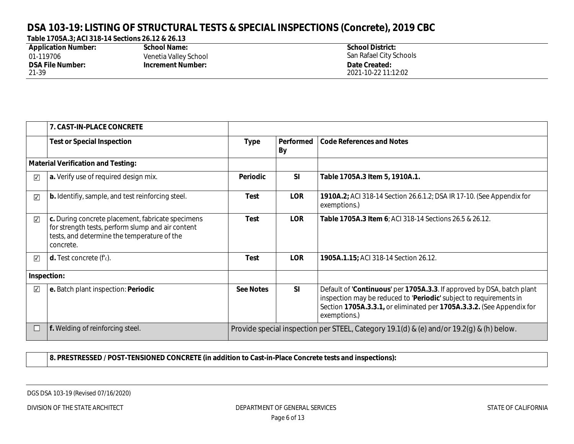**Table 1705A.3; ACI 318-14 Sections 26.12 & 26.13**

| <b>Application Number:</b> | <b>School Name:</b>      | <b>School District:</b> |
|----------------------------|--------------------------|-------------------------|
| 01-119706                  | Venetia Valley School    | San Rafael City Schools |
| <b>DSA File Number:</b>    | <b>Increment Number:</b> | Date Created:           |
| 21-39                      |                          | 2021-10-22 11:12:02     |

|                         | 7. CAST-IN-PLACE CONCRETE                                                                                                                                          |                  |                                                                                          |                                                                                                                                                                                                                                       |  |
|-------------------------|--------------------------------------------------------------------------------------------------------------------------------------------------------------------|------------------|------------------------------------------------------------------------------------------|---------------------------------------------------------------------------------------------------------------------------------------------------------------------------------------------------------------------------------------|--|
|                         | <b>Test or Special Inspection</b>                                                                                                                                  | <b>Type</b>      | Performed<br>By                                                                          | <b>Code References and Notes</b>                                                                                                                                                                                                      |  |
|                         | <b>Material Verification and Testing:</b>                                                                                                                          |                  |                                                                                          |                                                                                                                                                                                                                                       |  |
| ⊽                       | a. Verify use of required design mix.                                                                                                                              | Periodic         | SI                                                                                       | Table 1705A.3 Item 5, 1910A.1.                                                                                                                                                                                                        |  |
| $\overline{\mathbf{v}}$ | <b>b.</b> Identifiy, sample, and test reinforcing steel.                                                                                                           | <b>Test</b>      | <b>LOR</b>                                                                               | 1910A.2; ACI 318-14 Section 26.6.1.2; DSA IR 17-10. (See Appendix for<br>exemptions.)                                                                                                                                                 |  |
| $\overline{\checkmark}$ | c. During concrete placement, fabricate specimens<br>for strength tests, perform slump and air content<br>tests, and determine the temperature of the<br>concrete. | Test             | <b>LOR</b>                                                                               | <b>Table 1705A.3 Item 6: ACI 318-14 Sections 26.5 &amp; 26.12.</b>                                                                                                                                                                    |  |
| $\overline{\checkmark}$ | <b>d.</b> Test concrete $(fc)$ .                                                                                                                                   | Test             | <b>LOR</b>                                                                               | 1905A.1.15; ACI 318-14 Section 26.12.                                                                                                                                                                                                 |  |
|                         | Inspection:                                                                                                                                                        |                  |                                                                                          |                                                                                                                                                                                                                                       |  |
| $\sqrt{}$               | e. Batch plant inspection: Periodic                                                                                                                                | <b>See Notes</b> | <b>SI</b>                                                                                | Default of 'Continuous' per 1705A.3.3. If approved by DSA, batch plant<br>inspection may be reduced to 'Periodic' subject to requirements in<br>Section 1705A.3.3.1, or eliminated per 1705A.3.3.2. (See Appendix for<br>exemptions.) |  |
|                         | f. Welding of reinforcing steel.                                                                                                                                   |                  | Provide special inspection per STEEL, Category 19.1(d) & (e) and/or 19.2(g) & (h) below. |                                                                                                                                                                                                                                       |  |

**8. PRESTRESSED / POST-TENSIONED CONCRETE (in addition to Cast-in-Place Concrete tests and inspections):**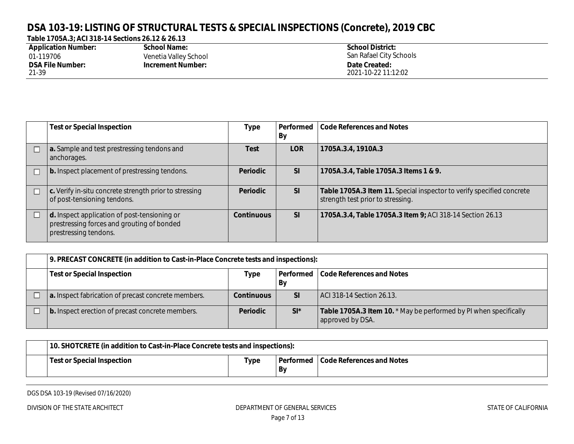**Table 1705A.3; ACI 318-14 Sections 26.12 & 26.13**

| <b>Application Number:</b> | <b>School Name:</b>      | <b>School District:</b> |
|----------------------------|--------------------------|-------------------------|
| 01-119706                  | Venetia Valley School    | San Rafael City Schools |
| <b>DSA File Number:</b>    | <b>Increment Number:</b> | Date Created:           |
| 21-39                      |                          | 2021-10-22 11:12:02     |

| <b>Test or Special Inspection</b>                                                                                   | <b>Type</b>       | Performed<br>By | Code References and Notes                                                                                  |
|---------------------------------------------------------------------------------------------------------------------|-------------------|-----------------|------------------------------------------------------------------------------------------------------------|
| a. Sample and test prestressing tendons and<br>anchorages.                                                          | Test              | <b>LOR</b>      | 1705A.3.4, 1910A.3                                                                                         |
| b. Inspect placement of prestressing tendons.                                                                       | <b>Periodic</b>   | <b>SI</b>       | 1705A.3.4, Table 1705A.3 Items 1 & 9.                                                                      |
| $\vert$ c. Verify in-situ concrete strength prior to stressing<br>of post-tensioning tendons.                       | <b>Periodic</b>   | <b>SI</b>       | Table 1705A.3 Item 11. Special inspector to verify specified concrete<br>strength test prior to stressing. |
| d. Inspect application of post-tensioning or<br>prestressing forces and grouting of bonded<br>prestressing tendons. | <b>Continuous</b> | <b>SI</b>       | 1705A.3.4, Table 1705A.3 Item 9; ACI 318-14 Section 26.13                                                  |

| 9. PRECAST CONCRETE (in addition to Cast-in-Place Concrete tests and inspections):            |                   |           |                                                                                       |  |  |
|-----------------------------------------------------------------------------------------------|-------------------|-----------|---------------------------------------------------------------------------------------|--|--|
| <b>Test or Special Inspection</b><br>  Performed<br>Code References and Notes<br>Type<br>  By |                   |           |                                                                                       |  |  |
| a. Inspect fabrication of precast concrete members.                                           | <b>Continuous</b> | <b>SI</b> | ACI 318-14 Section 26.13.                                                             |  |  |
| b. Inspect erection of precast concrete members.                                              | <b>Periodic</b>   | $SI^*$    | Table 1705A.3 Item 10. * May be performed by PI when specifically<br>approved by DSA. |  |  |

| 10. SHOTCRETE (in addition to Cast-in-Place Concrete tests and inspections): |      |    |                                       |  |
|------------------------------------------------------------------------------|------|----|---------------------------------------|--|
| Test or Special Inspection                                                   | Type | By | Performed   Code References and Notes |  |

DGS DSA 103-19 (Revised 07/16/2020)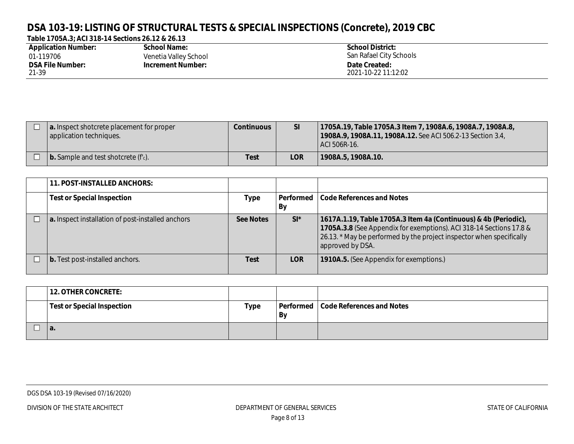#### **Table 1705A.3; ACI 318-14 Sections 26.12 & 26.13**

| <b>Application Number:</b> | School Name:             | <b>School District:</b> |
|----------------------------|--------------------------|-------------------------|
| 01-119706                  | Venetia Valley School    | San Rafael City Schools |
| <b>DSA File Number:</b>    | <b>Increment Number:</b> | Date Created:           |
| 21-39                      |                          | 2021-10-22 11:12:02     |

| a. Inspect shotcrete placement for proper<br>application techniques. | <b>Continuous</b> | <b>SI</b>  | 1705A.19, Table 1705A.3 Item 7, 1908A.6, 1908A.7, 1908A.8,<br>1908A.9, 1908A.11, 1908A.12. See ACI 506.2-13 Section 3.4,<br>ACI 506R-16. |
|----------------------------------------------------------------------|-------------------|------------|------------------------------------------------------------------------------------------------------------------------------------------|
| $\vert$ b. Sample and test shotcrete ( $f_c$ ).                      | <b>Test</b>       | <b>LOR</b> | 1908A.5, 1908A.10.                                                                                                                       |

| 11. POST-INSTALLED ANCHORS:                       |                  |                 |                                                                                                                                                                                                                                    |
|---------------------------------------------------|------------------|-----------------|------------------------------------------------------------------------------------------------------------------------------------------------------------------------------------------------------------------------------------|
| <b>Test or Special Inspection</b>                 | Type             | Performed<br>By | Code References and Notes                                                                                                                                                                                                          |
| a. Inspect installation of post-installed anchors | <b>See Notes</b> | $SI^*$          | 1617A.1.19, Table 1705A.3 Item 4a (Continuous) & 4b (Periodic),<br>1705A.3.8 (See Appendix for exemptions). ACI 318-14 Sections 17.8 &<br>26.13. * May be performed by the project inspector when specifically<br>approved by DSA. |
| $\vert$ b. Test post-installed anchors.           | Test             | <b>LOR</b>      | 1910A.5. (See Appendix for exemptions.)                                                                                                                                                                                            |

| <b>12. OTHER CONCRETE:</b>        |      |    |                                       |
|-----------------------------------|------|----|---------------------------------------|
| <b>Test or Special Inspection</b> | Type | By | Performed   Code References and Notes |
| а.                                |      |    |                                       |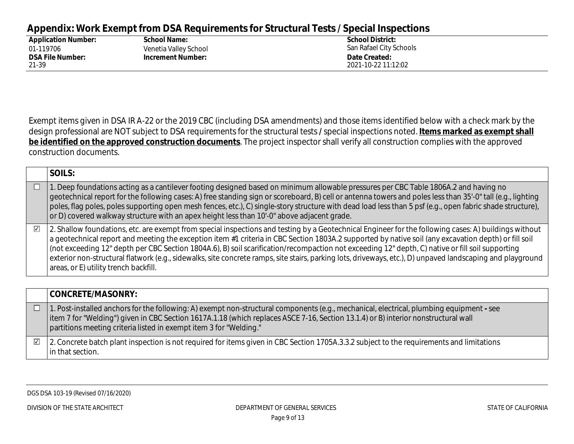#### **Appendix: Work Exempt from DSA Requirements for Structural Tests / Special Inspections**

| <b>Application Number:</b> | <b>School Name:</b>      | <b>School District:</b> |
|----------------------------|--------------------------|-------------------------|
| 01-119706                  | Venetia Valley School    | San Rafael City Schools |
| <b>DSA File Number:</b>    | <b>Increment Number:</b> | Date Created:           |
| 21-39                      |                          | 2021-10-22 11:12:02     |

Exempt items given in DSA IR A-22 or the 2019 CBC (including DSA amendments) and those items identified below with a check mark by the design professional are NOT subject to DSA requirements for the structural tests **/** special inspections noted. **Items marked as exempt shall be identified on the approved construction documents**. The project inspector shall verify all construction complies with the approved construction documents.

|            | SOILS:                                                                                                                                                                                                                                                                                                                                                                                                                                                                                                                                                                                                                                                                   |
|------------|--------------------------------------------------------------------------------------------------------------------------------------------------------------------------------------------------------------------------------------------------------------------------------------------------------------------------------------------------------------------------------------------------------------------------------------------------------------------------------------------------------------------------------------------------------------------------------------------------------------------------------------------------------------------------|
|            | 1. Deep foundations acting as a cantilever footing designed based on minimum allowable pressures per CBC Table 1806A.2 and having no<br>geotechnical report for the following cases: A) free standing sign or scoreboard, B) cell or antenna towers and poles less than 35'-0" tall (e.g., lighting<br>poles, flag poles, poles supporting open mesh fences, etc.), C) single-story structure with dead load less than 5 psf (e.g., open fabric shade structure),<br>or D) covered walkway structure with an apex height less than 10'-0" above adjacent grade.                                                                                                          |
| $\sqrt{2}$ | 2. Shallow foundations, etc. are exempt from special inspections and testing by a Geotechnical Engineer for the following cases: A) buildings without<br>a geotechnical report and meeting the exception item #1 criteria in CBC Section 1803A.2 supported by native soil (any excavation depth) or fill soil<br>(not exceeding 12" depth per CBC Section 1804A.6), B) soil scarification/recompaction not exceeding 12" depth, C) native or fill soil supporting<br>exterior non-structural flatwork (e.g., sidewalks, site concrete ramps, site stairs, parking lots, driveways, etc.), D) unpaved landscaping and playground<br>areas, or E) utility trench backfill. |

|   | CONCRETE/MASONRY:                                                                                                                                                                                                                                                                                                                                      |
|---|--------------------------------------------------------------------------------------------------------------------------------------------------------------------------------------------------------------------------------------------------------------------------------------------------------------------------------------------------------|
|   | 1. Post-installed anchors for the following: A) exempt non-structural components (e.g., mechanical, electrical, plumbing equipment - see<br>  item 7 for "Welding") given in CBC Section 1617A.1.18 (which replaces ASCE 7-16, Section 13.1.4) or B) interior nonstructural wall<br>partitions meeting criteria listed in exempt item 3 for "Welding." |
| ☑ | 2. Concrete batch plant inspection is not required for items given in CBC Section 1705A.3.3.2 subject to the requirements and limitations<br>in that section.                                                                                                                                                                                          |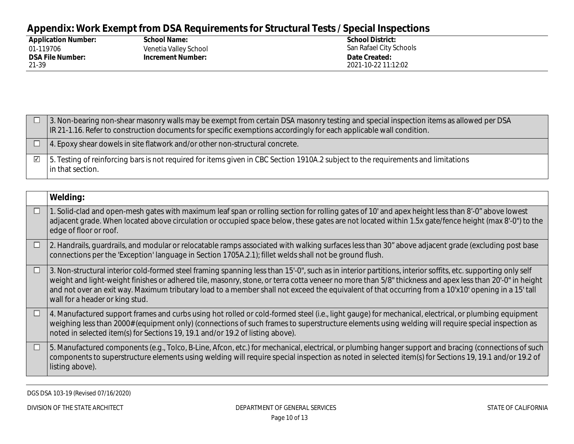# **Appendix: Work Exempt from DSA Requirements for Structural Tests / Special Inspections**

| <b>Application Number:</b> | <b>School Name:</b>   | <b>School District:</b> |
|----------------------------|-----------------------|-------------------------|
| 01-119706                  | Venetia Valley School | San Rafael City Schools |
| <b>DSA File Number:</b>    | Increment Number:     | Date Created:           |
| 21-39                      |                       | 2021-10-22 11:12:02     |

|            | 1. S. Non-bearing non-shear masonry walls may be exempt from certain DSA masonry testing and special inspection items as allowed per DSA<br>IR 21-1.16. Refer to construction documents for specific exemptions accordingly for each applicable wall condition. |  |
|------------|-----------------------------------------------------------------------------------------------------------------------------------------------------------------------------------------------------------------------------------------------------------------|--|
|            | $\Box$   4. Epoxy shear dowels in site flatwork and/or other non-structural concrete.                                                                                                                                                                           |  |
| $\sqrt{ }$ | 5. Testing of reinforcing bars is not required for items given in CBC Section 1910A.2 subject to the requirements and limitations<br>In that section.                                                                                                           |  |

|        | Welding:                                                                                                                                                                                                                                                                                                                                                                                                                                                                                                         |
|--------|------------------------------------------------------------------------------------------------------------------------------------------------------------------------------------------------------------------------------------------------------------------------------------------------------------------------------------------------------------------------------------------------------------------------------------------------------------------------------------------------------------------|
| $\Box$ | 1. Solid-clad and open-mesh gates with maximum leaf span or rolling section for rolling gates of 10' and apex height less than 8'-0" above lowest<br>adjacent grade. When located above circulation or occupied space below, these gates are not located within 1.5x gate/fence height (max 8'-0") to the<br>edge of floor or roof.                                                                                                                                                                              |
| $\Box$ | 2. Handrails, quardrails, and modular or relocatable ramps associated with walking surfaces less than 30" above adjacent grade (excluding post base<br>connections per the 'Exception' language in Section 1705A.2.1); fillet welds shall not be ground flush.                                                                                                                                                                                                                                                   |
| $\Box$ | 3. Non-structural interior cold-formed steel framing spanning less than 15'-0", such as in interior partitions, interior soffits, etc. supporting only self<br>weight and light-weight finishes or adhered tile, masonry, stone, or terra cotta veneer no more than 5/8" thickness and apex less than 20'-0" in height<br>and not over an exit way. Maximum tributary load to a member shall not exceed the equivalent of that occurring from a 10'x10' opening in a 15' tall<br>wall for a header or king stud. |
| $\Box$ | 4. Manufactured support frames and curbs using hot rolled or cold-formed steel (i.e., light gauge) for mechanical, electrical, or plumbing equipment<br>weighing less than 2000# (equipment only) (connections of such frames to superstructure elements using welding will require special inspection as<br>noted in selected item(s) for Sections 19, 19.1 and/or 19.2 of listing above).                                                                                                                      |
| $\Box$ | 5. Manufactured components (e.g., Tolco, B-Line, Afcon, etc.) for mechanical, electrical, or plumbing hanger support and bracing (connections of such<br>components to superstructure elements using welding will require special inspection as noted in selected item(s) for Sections 19, 19.1 and/or 19.2 of<br>listing above).                                                                                                                                                                                |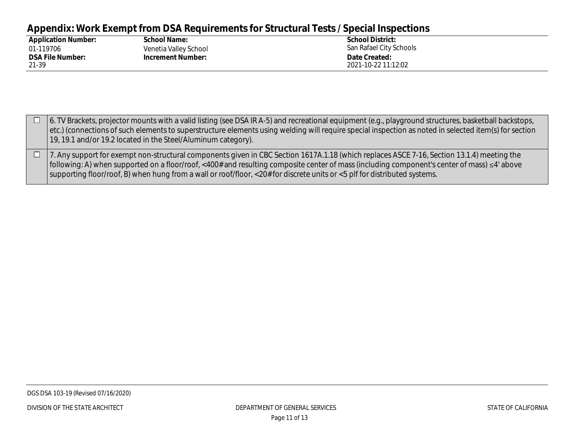# **Appendix: Work Exempt from DSA Requirements for Structural Tests / Special Inspections**

| <b>Application Number:</b> | <b>School Name:</b>      | <b>School District:</b> |
|----------------------------|--------------------------|-------------------------|
| 01-119706                  | Venetia Valley School    | San Rafael City Schools |
| <b>DSA File Number:</b>    | <b>Increment Number:</b> | Date Created:           |
| 21-39                      |                          | 2021-10-22 11:12:02     |

| 6. TV Brackets, projector mounts with a valid listing (see DSA IR A-5) and recreational equipment (e.g., playground structures, basketball backstops,<br>etc.) (connections of such elements to superstructure elements using welding will require special inspection as noted in selected item(s) for section<br>19, 19.1 and/or 19.2 located in the Steel/Aluminum category).                                            |
|----------------------------------------------------------------------------------------------------------------------------------------------------------------------------------------------------------------------------------------------------------------------------------------------------------------------------------------------------------------------------------------------------------------------------|
| 7. Any support for exempt non-structural components given in CBC Section 1617A.1.18 (which replaces ASCE 7-16, Section 13.1.4) meeting the<br>  following: A) when supported on a floor/roof, <400# and resulting composite center of mass (including component's center of mass) ≤4' above<br>  supporting floor/roof, B) when hung from a wall or roof/floor, <20# for discrete units or <5 plf for distributed systems. |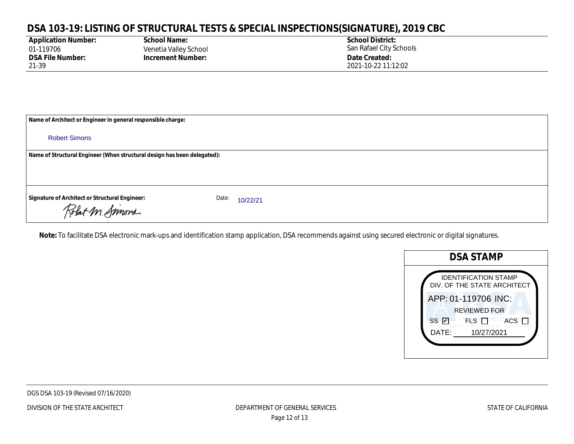| <b>Application Number:</b> |
|----------------------------|
| 01-119706                  |
| <b>DSA File Number:</b>    |
| 21-39                      |

**School Name:** Venetia Valley School **Increment Number: Date Created:** 

**School District:** San Rafael City Schools 2021-10-22 11:12:02

**Name of Architect or Engineer in general responsible charge:**

Robert Simons

**Name of Structural Engineer (When structural design has been delegated):**

**Signature of Architect or Structural Engineer: now and Date:** Date:

Date: 10/22/21

Robert M. Simons

**Note:** To facilitate DSA electronic mark-ups and identification stamp application, DSA recommends against using secured electronic or digital signatures.

|             | <b>DSA STAMP</b>                                           |
|-------------|------------------------------------------------------------|
|             | <b>IDENTIFICATION STAMP</b><br>DIV. OF THE STATE ARCHITECT |
|             | APP: 01-119706 INC:<br><b>REVIEWED FOR</b>                 |
| DATE:       | 10/27/2021                                                 |
| SS <i>⊽</i> | <b>PFLSNTT</b><br>ACS <sub>I</sub>                         |